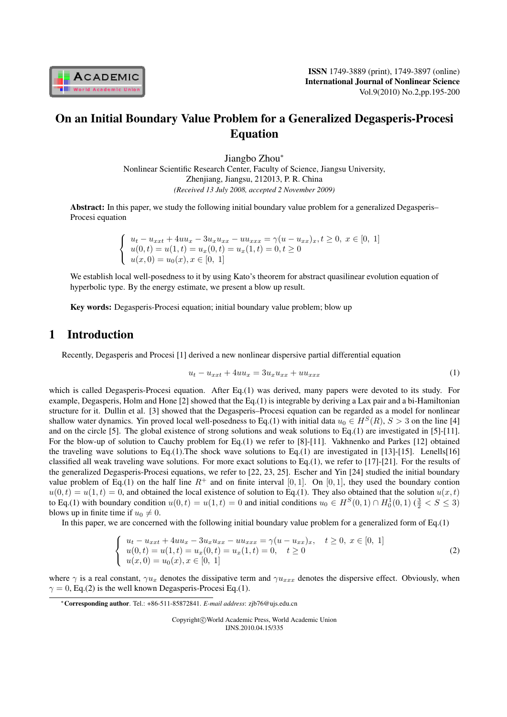

# On an Initial Boundary Value Problem for a Generalized Degasperis-Procesi Equation

Jiangbo Zhou*<sup>∗</sup>* Nonlinear Scientific Research Center, Faculty of Science, Jiangsu University, Zhenjiang, Jiangsu, 212013, P. R. China *(Received 13 July 2008, accepted 2 November 2009)*

Abstract: In this paper, we study the following initial boundary value problem for a generalized Degasperis– Procesi equation

> $\sqrt{ }$  $\mathbf{J}$  $\mathbf{I}$  $u_t - u_{xxt} + 4uu_x - 3u_xu_{xx} - uu_{xxx} = \gamma(u - u_{xx})_x, t \geq 0, x \in [0, 1]$  $u(0,t) = u(1,t) = u_x(0,t) = u_x(1,t) = 0, t \ge 0$  $u(x, 0) = u_0(x), x \in [0, 1]$

We establish local well-posedness to it by using Kato's theorem for abstract quasilinear evolution equation of hyperbolic type. By the energy estimate, we present a blow up result.

Key words: Degasperis-Procesi equation; initial boundary value problem; blow up

### 1 Introduction

Recently, Degasperis and Procesi [1] derived a new nonlinear dispersive partial differential equation

$$
u_t - u_{xxt} + 4uu_x = 3u_x u_{xx} + uu_{xxx}
$$
 (1)

which is called Degasperis-Procesi equation. After Eq.(1) was derived, many papers were devoted to its study. For example, Degasperis, Holm and Hone [2] showed that the Eq.(1) is integrable by deriving a Lax pair and a bi-Hamiltonian structure for it. Dullin et al. [3] showed that the Degasperis–Procesi equation can be regarded as a model for nonlinear shallow water dynamics. Yin proved local well-posedness to Eq.(1) with initial data  $u_0 \in H^S(R)$ ,  $S > 3$  on the line [4] and on the circle [5]. The global existence of strong solutions and weak solutions to Eq.(1) are investigated in [5]-[11]. For the blow-up of solution to Cauchy problem for Eq.(1) we refer to [8]-[11]. Vakhnenko and Parkes [12] obtained the traveling wave solutions to Eq.(1). The shock wave solutions to Eq.(1) are investigated in [13]-[15]. Lenells[16] classified all weak traveling wave solutions. For more exact solutions to Eq.(1), we refer to  $[17]-[21]$ . For the results of the generalized Degasperis-Procesi equations, we refer to [22, 23, 25]. Escher and Yin [24] studied the initial boundary value problem of Eq.(1) on the half line  $R^+$  and on finite interval [0, 1]. On [0, 1], they used the boundary contion  $u(0,t) = u(1,t) = 0$ , and obtained the local existence of solution to Eq.(1). They also obtained that the solution  $u(x,t)$ to Eq.(1) with boundary condition  $u(0, t) = u(1, t) = 0$  and initial conditions  $u_0 \in H^S(0, 1) \cap H_0^1(0, 1)$  ( $\frac{3}{2} < S \le 3$ ) blows up in finite time if  $u_0 \neq 0$ .

In this paper, we are concerned with the following initial boundary value problem for a generalized form of Eq.(1)

$$
\begin{cases}\n u_t - u_{xxt} + 4uu_x - 3u_x u_{xx} - uu_{xxx} = \gamma (u - u_{xx})_x, & t \ge 0, \ x \in [0, 1] \\
u(0, t) = u(1, t) = u_x(0, t) = u_x(1, t) = 0, \quad t \ge 0 \\
u(x, 0) = u_0(x), x \in [0, 1]\n\end{cases}
$$
\n(2)

where  $\gamma$  is a real constant,  $\gamma u_x$  denotes the dissipative term and  $\gamma u_{xxx}$  denotes the dispersive effect. Obviously, when  $\gamma = 0$ , Eq.(2) is the well known Degasperis-Procesi Eq.(1).

Copyright*⃝*c World Academic Press, World Academic Union IJNS.2010.04.15/335

*<sup>∗</sup>*Corresponding author. Tel.: +86-511-85872841. *E-mail address*: zjb76@ujs.edu.cn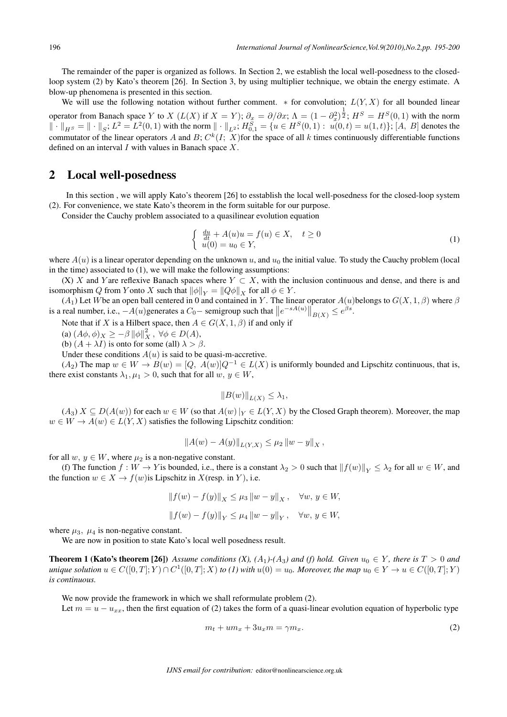The remainder of the paper is organized as follows. In Section 2, we establish the local well-posedness to the closedloop system (2) by Kato's theorem [26]. In Section 3, by using multiplier technique, we obtain the energy estimate. A blow-up phenomena is presented in this section.

We will use the following notation without further comment.  $*$  for convolution;  $L(Y, X)$  for all bounded linear operator from Banach space Y to X  $(L(X)$  if  $X = Y)$ ;  $\partial_x = \partial/\partial x$ ;  $\Lambda = (1 - \partial_x^2)^{\frac{1}{2}}$ ;  $H^S = H^S(0, 1)$  with the norm  $\|\cdot\|_{H^S} = \|\cdot\|_S$ ;  $L^2 = L^2(0,1)$  with the norm  $\|\cdot\|_{L^2}$ ;  $H_{0,1}^S = \{u \in H^S(0,1): u(0,t) = u(1,t)\}$ ;  $[A, B]$  denotes the commutator of the linear operators A and B;  $C^k(I; X)$  for the space of all k times continuously differentiable functions defined on an interval  $I$  with values in Banach space  $X$ .

#### 2 Local well-posedness

In this section , we will apply Kato's theorem [26] to esstablish the local well-posedness for the closed-loop system (2). For convenience, we state Kato's theorem in the form suitable for our purpose.

Consider the Cauchy problem associated to a quasilinear evolution equation

$$
\begin{cases} \frac{du}{dt} + A(u)u = f(u) \in X, \quad t \ge 0\\ u(0) = u_0 \in Y, \end{cases}
$$
\n(1)

where  $A(u)$  is a linear operator depending on the unknown u, and  $u_0$  the initial value. To study the Cauchy problem (local in the time) associated to (1), we will make the following assumptions:

(X) X and Yare reflexive Banach spaces where  $Y \subset X$ , with the inclusion continuous and dense, and there is and isomorphism Q from Y onto X such that  $\|\phi\|_Y = \|Q\phi\|_X$  for all  $\phi \in Y$ .

 $(A_1)$  Let W be an open ball centered in 0 and contained in Y. The linear operator  $A(u)$  belongs to  $G(X, 1, \beta)$  where  $\beta$ is a real number, i.e.,  $-A(u)$  generates a  $C_0$  – semigroup such that  $||e^{-sA(u)}||_{B(X)} \le e^{\beta s}$ .

Note that if *X* is a Hilbert space, then  $A \in G(X, 1, \beta)$  if and only if

 $(A\phi, \phi)_X \geq -\beta ||\phi||_X^2, \ \forall \phi \in D(A),$ 

(b)  $(A + \lambda I)$  is onto for some (all)  $\lambda > \beta$ .

Under these conditions  $A(u)$  is said to be quasi-m-accretive.

 $(A_2)$  The map  $w \in W \to B(w) = [Q, A(w)]Q^{-1} \in L(X)$  is uniformly bounded and Lipschitz continuous, that is, there exist constants  $\lambda_1, \mu_1 > 0$ , such that for all  $w, y \in W$ ,

$$
||B(w)||_{L(X)} \leq \lambda_1,
$$

 $(A_3)$   $X \subseteq D(A(w))$  for each  $w \in W$  (so that  $A(w)|_Y \in L(Y, X)$  by the Closed Graph theorem). Moreover, the map  $w \in W \to A(w) \in L(Y, X)$  satisfies the following Lipschitz condition:

$$
||A(w) - A(y)||_{L(Y,X)} \leq \mu_2 ||w - y||_X,
$$

for all  $w, y \in W$ , where  $\mu_2$  is a non-negative constant.

(f) The function  $f: W \to Y$  is bounded, i.e., there is a constant  $\lambda_2 > 0$  such that  $||f(w)||_Y \leq \lambda_2$  for all  $w \in W$ , and the function  $w \in X \to f(w)$  is Lipschitz in  $X$  (resp. in  $Y$ ), i.e.

$$
||f(w) - f(y)||_X \le \mu_3 ||w - y||_X, \quad \forall w, y \in W,
$$
  

$$
||f(w) - f(y)||_Y \le \mu_4 ||w - y||_Y, \quad \forall w, y \in W,
$$

where  $\mu_3$ ,  $\mu_4$  is non-negative constant.

We are now in position to state Kato's local well posedness result.

**Theorem 1 (Kato's theorem [26])** Assume conditions (X), (A<sub>1</sub>)-(A<sub>3</sub>) and (f) hold. Given  $u_0 \in Y$ , there is  $T > 0$  and  $u$ nique solution  $u \in C([0,T];Y) \cap C^1([0,T];X)$  to (1) with  $u(0) = u_0$ . Moreover, the map  $u_0 \in Y \to u \in C([0,T];Y)$ *is continuous.*

We now provide the framework in which we shall reformulate problem (2). Let  $m = u - u_{xx}$ , then the first equation of (2) takes the form of a quasi-linear evolution equation of hyperbolic type

$$
m_t + u m_x + 3u_x m = \gamma m_x. \tag{2}
$$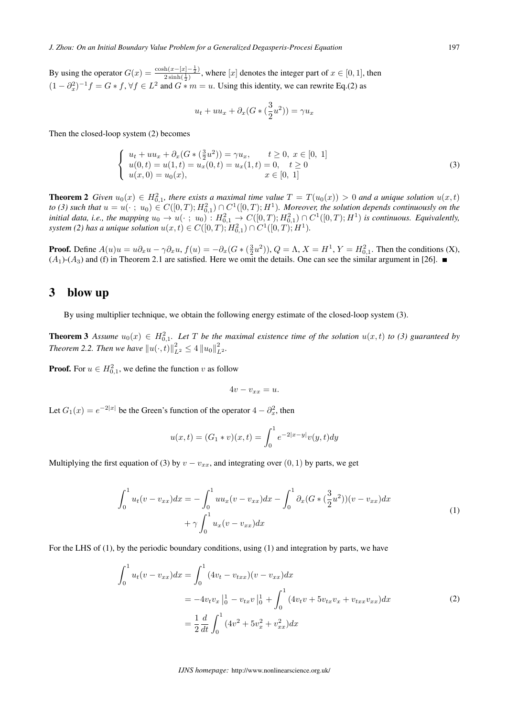By using the operator  $G(x) = \frac{\cosh(x-[x]-\frac{1}{2})}{2\sinh(\frac{1}{2})}$  $\frac{\ln(x - \lfloor x \rfloor - \frac{\pi}{2})}{2 \sinh(\frac{1}{2})}$ , where  $\lfloor x \rfloor$  denotes the integer part of  $x \in [0, 1]$ , then  $(1 - \partial_x^2)^{-1} f = G * f$ ,  $\forall f \in L^2$  and  $G * m = u$ . Using this identity, we can rewrite Eq.(2) as

$$
u_t + uu_x + \partial_x (G \ast (\frac{3}{2}u^2)) = \gamma u_x
$$

Then the closed-loop system (2) becomes

$$
\begin{cases}\n u_t + uu_x + \partial_x (G * (\frac{3}{2}u^2)) = \gamma u_x, & t \ge 0, \ x \in [0, 1] \\
u(0, t) = u(1, t) = u_x(0, t) = u_x(1, t) = 0, & t \ge 0 \\
u(x, 0) = u_0(x), & x \in [0, 1]\n\end{cases}
$$
\n(3)

**Theorem 2** Given  $u_0(x) \in H^2_{0,1}$ , there exists a maximal time value  $T = T(u_0(x)) > 0$  and a unique solution  $u(x,t)$ *to* (3) such that  $u = u(\cdot; u_0) \in C([0,T); H_{0,1}^2) \cap C^1([0,T); H^1)$ . Moreover, the solution depends continuously on the *initial data, i.e., the mapping*  $u_0 \to u(\cdot; u_0)$  :  $H^2_{0,1} \to C([0,T); H^2_{0,1}) \cap C^1([0,T); H^1)$  *is continuous. Equivalently,*  $s$ *ystem* (2) has a unique solution  $u(x,t) \in C([0,T); H_{0,1}^2) \cap C^1([0,T); H^1)$ .

**Proof.** Define  $A(u)u = u\partial_x u - \gamma \partial_x u$ ,  $f(u) = -\partial_x (G \ast (\frac{3}{2}u^2))$ ,  $Q = \Lambda$ ,  $X = H^1$ ,  $Y = H^2_{0,1}$ . Then the conditions (X),  $(A_1)$ - $(A_3)$  and (f) in Theorem 2.1 are satisfied. Here we omit the details. One can see the similar argument in [26].

#### 3 blow up

By using multiplier technique, we obtain the following energy estimate of the closed-loop system (3).

**Theorem 3** Assume  $u_0(x) \in H^2_{0,1}$ . Let T be the maximal existence time of the solution  $u(x,t)$  to (3) guaranteed by *Theorem 2.2. Then we have*  $||u(\cdot, t)||_{L^2}^2 \leq 4 ||u_0||_{L^2}^2$ .

**Proof.** For  $u \in H_{0,1}^2$ , we define the function v as follow

$$
4v - v_{xx} = u.
$$

Let  $G_1(x) = e^{-2|x|}$  be the Green's function of the operator  $4 - \partial_x^2$ , then

$$
u(x,t) = (G_1 * v)(x,t) = \int_0^1 e^{-2|x-y|} v(y,t) dy
$$

Multiplying the first equation of (3) by  $v - v_{xx}$ , and integrating over (0, 1) by parts, we get

$$
\int_0^1 u_t(v - v_{xx}) dx = -\int_0^1 u u_x(v - v_{xx}) dx - \int_0^1 \partial_x (G \ast (\frac{3}{2} u^2))(v - v_{xx}) dx + \gamma \int_0^1 u_x(v - v_{xx}) dx
$$
\n(1)

For the LHS of (1), by the periodic boundary conditions, using (1) and integration by parts, we have

$$
\int_0^1 u_t(v - v_{xx}) dx = \int_0^1 (4v_t - v_{txx})(v - v_{xx}) dx
$$
  
=  $-4v_t v_x \Big|_0^1 - v_{tx} v \Big|_0^1 + \int_0^1 (4v_t v + 5v_{tx} v_x + v_{txx} v_{xx}) dx$   
=  $\frac{1}{2} \frac{d}{dt} \int_0^1 (4v^2 + 5v_x^2 + v_{xx}^2) dx$  (2)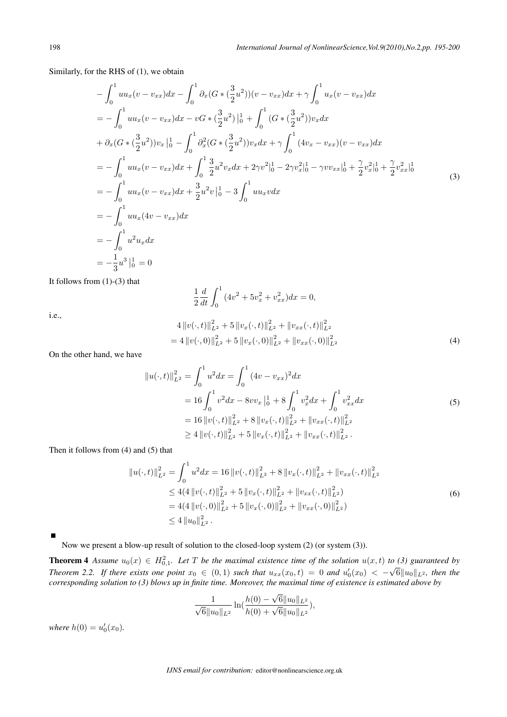Similarly, for the RHS of (1), we obtain

$$
-\int_{0}^{1} u u_{x}(v - v_{xx}) dx - \int_{0}^{1} \partial_{x} (G * (\frac{3}{2} u^{2})) (v - v_{xx}) dx + \gamma \int_{0}^{1} u_{x}(v - v_{xx}) dx
$$
  
\n
$$
= -\int_{0}^{1} u u_{x}(v - v_{xx}) dx - vG * (\frac{3}{2} u^{2}) \Big|_{0}^{1} + \int_{0}^{1} (G * (\frac{3}{2} u^{2})) v_{x} dx
$$
  
\n
$$
+ \partial_{x} (G * (\frac{3}{2} u^{2})) v_{x} \Big|_{0}^{1} - \int_{0}^{1} \partial_{x}^{2} (G * (\frac{3}{2} u^{2})) v_{x} dx + \gamma \int_{0}^{1} (4v_{x} - v_{xx}) (v - v_{xx}) dx
$$
  
\n
$$
= -\int_{0}^{1} u u_{x}(v - v_{xx}) dx + \int_{0}^{1} \frac{3}{2} u^{2} v_{x} dx + 2\gamma v^{2} \Big|_{0}^{1} - 2\gamma v_{x}^{2} \Big|_{0}^{1} - \gamma v v_{xx} \Big|_{0}^{1} + \frac{\gamma}{2} v_{x}^{2} \Big|_{0}^{1} + \frac{\gamma}{2} v_{xx}^{2} \Big|_{0}^{1}
$$
  
\n
$$
= -\int_{0}^{1} u u_{x}(v - v_{xx}) dx + \frac{3}{2} u^{2} v \Big|_{0}^{1} - 3 \int_{0}^{1} u u_{x} v dx
$$
  
\n
$$
= -\int_{0}^{1} u^{2} u_{x} dx
$$
  
\n
$$
= -\int_{0}^{1} u^{2} u_{x} dx
$$
  
\n
$$
= -\frac{1}{3} u^{3} \Big|_{0}^{1} = 0
$$
  
\n(3)

It follows from (1)-(3) that

$$
\frac{1}{2}\frac{d}{dt}\int_0^1 (4v^2 + 5v_x^2 + v_{xx}^2)dx = 0,
$$

i.e.,

$$
4 ||v(\cdot,t)||_{L^{2}}^{2} + 5 ||v_{x}(\cdot,t)||_{L^{2}}^{2} + ||v_{xx}(\cdot,t)||_{L^{2}}^{2}
$$
  
= 4 ||v(\cdot,0)||\_{L^{2}}^{2} + 5 ||v\_{x}(\cdot,0)||\_{L^{2}}^{2} + ||v\_{xx}(\cdot,0)||\_{L^{2}}^{2} (4)

On the other hand, we have

$$
||u(\cdot,t)||_{L^{2}}^{2} = \int_{0}^{1} u^{2} dx = \int_{0}^{1} (4v - v_{xx})^{2} dx
$$
  
=  $16 \int_{0}^{1} v^{2} dx - 8vv_{x} \Big|_{0}^{1} + 8 \int_{0}^{1} v_{x}^{2} dx + \int_{0}^{1} v_{xx}^{2} dx$   
=  $16 ||v(\cdot,t)||_{L^{2}}^{2} + 8 ||v_{x}(\cdot,t)||_{L^{2}}^{2} + ||v_{xx}(\cdot,t)||_{L^{2}}^{2}$   
 $\geq 4 ||v(\cdot,t)||_{L^{2}}^{2} + 5 ||v_{x}(\cdot,t)||_{L^{2}}^{2} + ||v_{xx}(\cdot,t)||_{L^{2}}^{2}.$  (5)

Then it follows from (4) and (5) that

$$
||u(\cdot,t)||_{L^{2}}^{2} = \int_{0}^{1} u^{2} dx = 16 ||v(\cdot,t)||_{L^{2}}^{2} + 8 ||v_{x}(\cdot,t)||_{L^{2}}^{2} + ||v_{xx}(\cdot,t)||_{L^{2}}^{2}
$$
  
\n
$$
\leq 4(4 ||v(\cdot,t)||_{L^{2}}^{2} + 5 ||v_{x}(\cdot,t)||_{L^{2}}^{2} + ||v_{xx}(\cdot,t)||_{L^{2}}^{2})
$$
  
\n
$$
= 4(4 ||v(\cdot,0)||_{L^{2}}^{2} + 5 ||v_{x}(\cdot,0)||_{L^{2}}^{2} + ||v_{xx}(\cdot,0)||_{L^{2}}^{2})
$$
  
\n
$$
\leq 4 ||u_{0}||_{L^{2}}^{2} .
$$
\n(6)

Now we present a blow-up result of solution to the closed-loop system (2) (or system (3)).

**Theorem 4** Assume  $u_0(x) \in H^2_{0,1}$ . Let T be the maximal existence time of the solution  $u(x,t)$  to (3) guaranteed by *Theorem 2.2.* If there exists one point  $x_0 \in (0,1)$  such that  $u_{xx}(x_0,t) = 0$  and  $u'_0(x_0) < -\sqrt{6}||u_0||_{L^2}$ , then the *corresponding solution to (3) blows up in finite time. Moreover, the maximal time of existence is estimated above by*

$$
\frac{1}{\sqrt{6}||u_0||_{L^2}}\ln(\frac{h(0)-\sqrt{6}||u_0||_{L^2}}{h(0)+\sqrt{6}||u_0||_{L^2}}),
$$

*where*  $h(0) = u'_0(x_0)$ .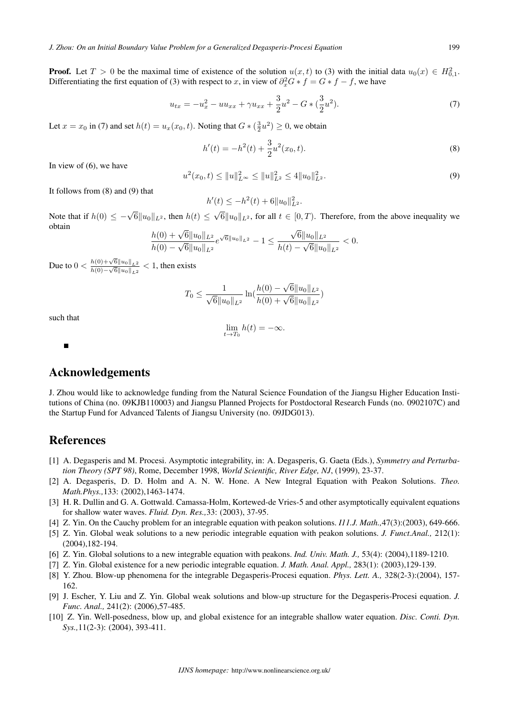**Proof.** Let  $T > 0$  be the maximal time of existence of the solution  $u(x, t)$  to (3) with the initial data  $u_0(x) \in H^2_{0,1}$ . Differentiating the first equation of (3) with respect to x, in view of  $\partial_x^2 G * f = G * f - f$ , we have

$$
u_{tx} = -u_x^2 - uu_{xx} + \gamma u_{xx} + \frac{3}{2}u^2 - G * (\frac{3}{2}u^2).
$$
 (7)

Let  $x = x_0$  in (7) and set  $h(t) = u_x(x_0, t)$ . Noting that  $G * (\frac{3}{2}u^2) \ge 0$ , we obtain

$$
h'(t) = -h^2(t) + \frac{3}{2}u^2(x_0, t).
$$
\n(8)

In view of (6), we have

$$
u^{2}(x_{0},t) \leq \|u\|_{L^{\infty}}^{2} \leq \|u\|_{L^{2}}^{2} \leq 4\|u_{0}\|_{L^{2}}^{2}.
$$
\n(9)

It follows from (8) and (9) that

 $h'(t) \leq -h^2(t) + 6||u_0||^2_{L^2}.$ 

Note that if  $h(0) \le -\sqrt{6} ||u_0||_{L^2}$ , then  $h(t) \le$ *√*  $6||u_0||_{L^2}$ , for all  $t \in [0, T)$ . Therefore, from the above inequality we obtain *√*

$$
\frac{h(0) + \sqrt{6}||u_0||_{L^2}}{h(0) - \sqrt{6}||u_0||_{L^2}}e^{\sqrt{6}||u_0||_{L^2}} - 1 \le \frac{\sqrt{6}||u_0||_{L^2}}{h(t) - \sqrt{6}||u_0||_{L^2}} < 0.
$$

Due to  $0 < \frac{h(0) + \sqrt{6} ||u_0||_{L^2}}{h(0) + \sqrt{6} ||u_0||_{L^2}}$  $\frac{h(0)+\sqrt{6}||u_0||_{L^2}}{h(0)-\sqrt{6}||u_0||_{L^2}}$  < 1, then exists

$$
T_0 \le \frac{1}{\sqrt{6}||u_0||_{L^2}} \ln(\frac{h(0) - \sqrt{6}||u_0||_{L^2}}{h(0) + \sqrt{6}||u_0||_{L^2}})
$$

such that

$$
\lim_{t \to T_0} h(t) = -\infty.
$$

#### Acknowledgements

J. Zhou would like to acknowledge funding from the Natural Science Foundation of the Jiangsu Higher Education Institutions of China (no. 09KJB110003) and Jiangsu Planned Projects for Postdoctoral Research Funds (no. 0902107C) and the Startup Fund for Advanced Talents of Jiangsu University (no. 09JDG013).

## References

- [1] A. Degasperis and M. Procesi. Asymptotic integrability, in: A. Degasperis, G. Gaeta (Eds.), *Symmetry and Perturbation Theory (SPT 98)*, Rome, December 1998, *World Scientific, River Edge, NJ*, (1999), 23-37.
- [2] A. Degasperis, D. D. Holm and A. N. W. Hone. A New Integral Equation with Peakon Solutions. *Theo. Math.Phys.,*133: (2002),1463-1474.
- [3] H. R. Dullin and G. A. Gottwald. Camassa-Holm, Kortewed-de Vries-5 and other asymptotically equivalent equations for shallow water waves. *Fluid. Dyn. Res.,*33: (2003), 37-95.
- [4] Z. Yin. On the Cauchy problem for an integrable equation with peakon solutions. *I11.J. Math.,*47(3):(2003), 649-666.
- [5] Z. Yin. Global weak solutions to a new periodic integrable equation with peakon solutions. *J. Funct.Anal.,* 212(1): (2004),182-194.
- [6] Z. Yin. Global solutions to a new integrable equation with peakons. *Ind. Univ. Math. J.,* 53(4): (2004),1189-1210.
- [7] Z. Yin. Global existence for a new periodic integrable equation. *J. Math. Anal. Appl.,* 283(1): (2003),129-139.
- [8] Y. Zhou. Blow-up phenomena for the integrable Degasperis-Procesi equation. *Phys. Lett. A.,* 328(2-3):(2004), 157- 162.
- [9] J. Escher, Y. Liu and Z. Yin. Global weak solutions and blow-up structure for the Degasperis-Procesi equation. *J. Func. Anal.,* 241(2): (2006),57-485.
- [10] Z. Yin. Well-posedness, blow up, and global existence for an integrable shallow water equation. *Disc. Conti. Dyn. Sys.,*11(2-3): (2004), 393-411.